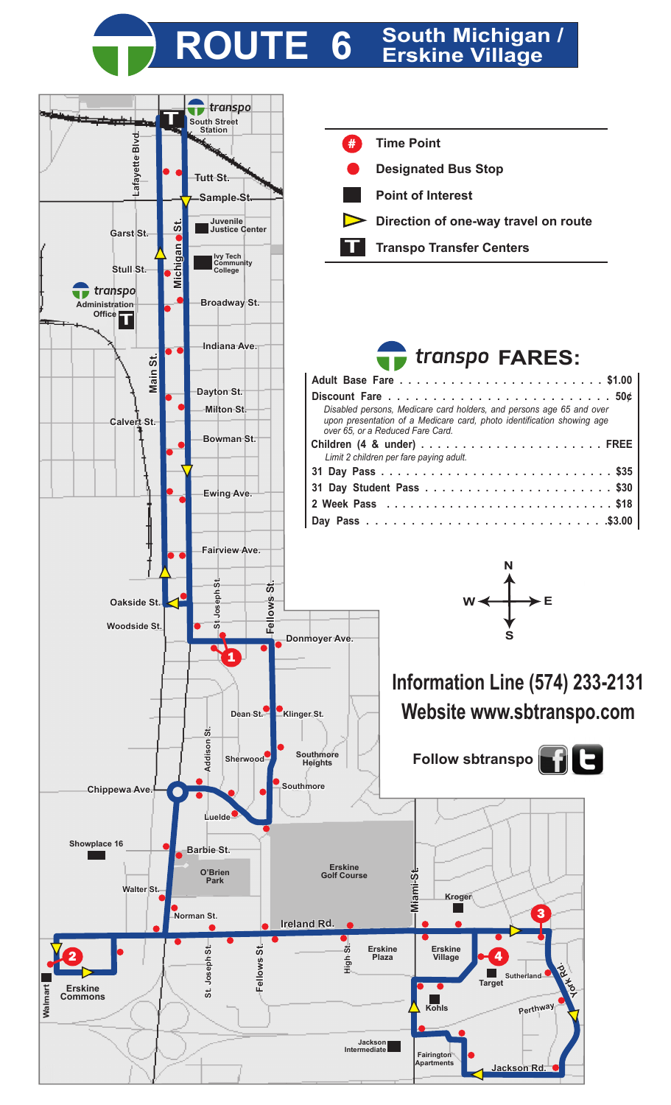## **ROUTE 6 South Michigan / Erskine Village**